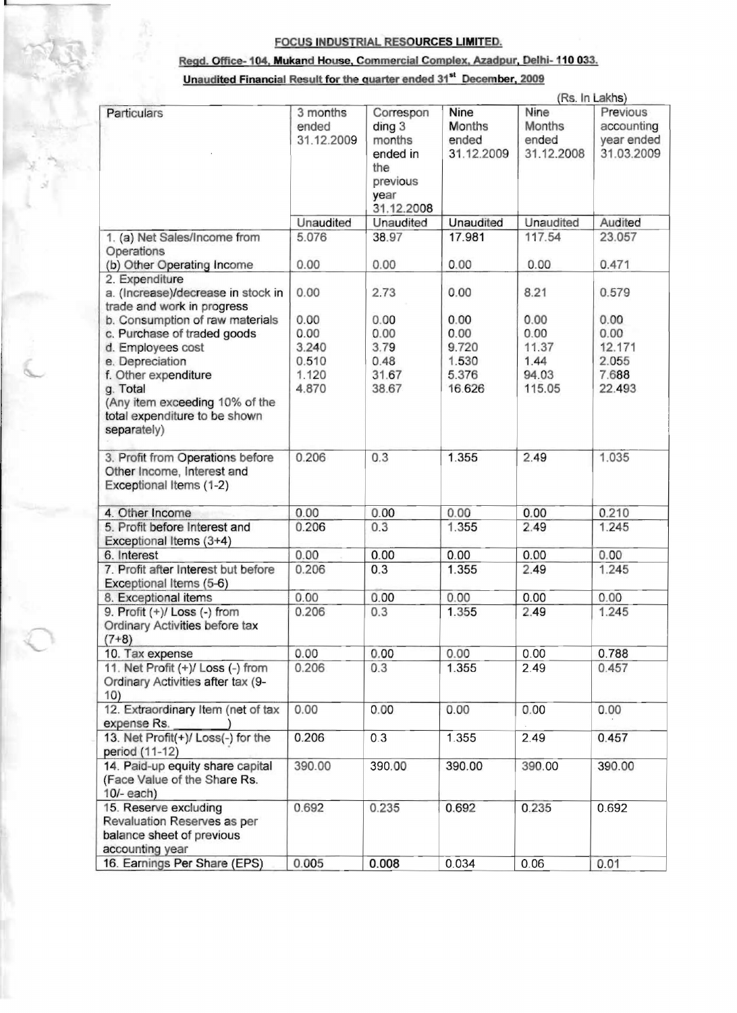## FOCUS INDUSTRIAL RESOURCES LIMITED.

## Reqd. Office-1 04, Mukand House, Commercial Complex, Azadpur. Delhi- 110 033.

## Unaudited Financial Result for the quarter ended 31<sup>st</sup> December, 2009

|                                                                                                      |                                 |                                                                                               | (Rs. In Lakhs)                                      |                                       |                                                    |  |
|------------------------------------------------------------------------------------------------------|---------------------------------|-----------------------------------------------------------------------------------------------|-----------------------------------------------------|---------------------------------------|----------------------------------------------------|--|
| Particulars                                                                                          | 3 months<br>ended<br>31.12.2009 | Correspon<br>diag <sub>3</sub><br>months<br>ended in<br>the<br>previous<br>year<br>31.12.2008 | <b>Nine</b><br><b>Months</b><br>ended<br>31.12.2009 | Nine<br>Months<br>ended<br>31.12.2008 | Previous<br>accounting<br>year ended<br>31.03.2009 |  |
|                                                                                                      | Unaudited                       | Unaudited                                                                                     | Unaudited                                           | Unaudited                             | Audited                                            |  |
| 1. (a) Net Sales/Income from                                                                         | 5.076                           | 38.97                                                                                         | 17.981                                              | 117.54                                | 23.057                                             |  |
| Operations<br>(b) Other Operating Income                                                             | 0.00                            | 0.00                                                                                          | 0.00                                                | 0.00                                  | 0.471                                              |  |
| 2. Expenditure                                                                                       |                                 |                                                                                               |                                                     |                                       |                                                    |  |
| a. (Increase)/decrease in stock in<br>trade and work in progress                                     | 0.00                            | 2.73                                                                                          | 0.00                                                | 8.21                                  | 0.579                                              |  |
| b. Consumption of raw materials                                                                      | 0.00                            | 0.00                                                                                          | 0.00                                                | 0.00                                  | 0.00                                               |  |
| c. Purchase of traded goods                                                                          | 0.00                            | 0.00                                                                                          | 0.00                                                | 0.00                                  | 0.00                                               |  |
| d. Employees cost                                                                                    | 3.240                           | 3.79                                                                                          | 9.720                                               | 11.37                                 | 12.171                                             |  |
| e. Depreciation                                                                                      | 0.510                           | 0.48                                                                                          | 1.530                                               | 1.44                                  | 2.055                                              |  |
| f. Other expenditure                                                                                 | 1.120                           | 31.67                                                                                         | 5.376                                               | 94.03                                 | 7.688                                              |  |
| g. Total<br>(Any item exceeding 10% of the<br>total expenditure to be shown<br>separately)           | 4.870                           | 38.67                                                                                         | 16.626                                              | 115.05                                | 22.493                                             |  |
| 3. Profit from Operations before<br>Other Income, Interest and<br>Exceptional Items (1-2)            | 0.206                           | 0.3                                                                                           | 1.355                                               | 2.49                                  | 1.035                                              |  |
| 4. Other Income                                                                                      | 0.00                            | 0.00                                                                                          | 0.00                                                | 0.00                                  | 0.210                                              |  |
| 5. Profit before Interest and<br>Exceptional Items (3+4)                                             | 0.206                           | 0.3                                                                                           | 1.355                                               | 2.49                                  | 1.245                                              |  |
| 6. Interest                                                                                          | 0.00                            | 0.00                                                                                          | 0.00                                                | 0.00                                  | 0.00                                               |  |
| 7. Profit after Interest but before<br>Exceptional Items (5-6)                                       | 0.206                           | 0.3                                                                                           | 1.355                                               | 2.49                                  | 1.245                                              |  |
| 8. Exceptional items                                                                                 | 0.00                            | 0.00                                                                                          | 0.00                                                | 0.00                                  | 0.00                                               |  |
| 9. Profit $(+)/$ Loss $(-)$ from<br>Ordinary Activities before tax<br>$(7+8)$                        | 0.206                           | 0.3                                                                                           | 1.355                                               | 2.49                                  | 1.245                                              |  |
| 10. Tax expense                                                                                      | 0.00                            | 0.00                                                                                          | 0.00                                                | 0.00                                  | 0.788                                              |  |
| 11. Net Profit (+)/ Loss (-) from<br>Ordinary Activities after tax (9-<br>10)                        | 0.206                           | 0.3                                                                                           | 1.355                                               | 2.49                                  | 0.457                                              |  |
| 12. Extraordinary Item (net of tax<br>expense Rs.                                                    | 0.00                            | 0.00                                                                                          | 0.00                                                | 0.00                                  | 0.00                                               |  |
| 13. Net Profit(+)/ Loss(-) for the<br>period (11-12)                                                 | 0.206                           | 0.3                                                                                           | 1.355                                               | 2.49                                  | 0.457                                              |  |
| 14. Paid-up equity share capital<br>(Face Value of the Share Rs.<br>$10/-$ each)                     | 390.00                          | 390.00                                                                                        | 390.00                                              | 390.00                                | 390.00                                             |  |
| 15. Reserve excluding<br>Revaluation Reserves as per<br>balance sheet of previous<br>accounting year | 0.692                           | 0.235                                                                                         | 0.692                                               | 0.235                                 | 0.692                                              |  |
| 16. Earnings Per Share (EPS)                                                                         | 0.005                           | 0.008                                                                                         | 0.034                                               | 0.06                                  | 0.01                                               |  |